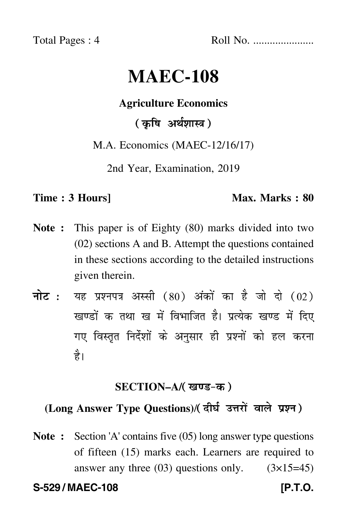Total Pages : 4 Roll No. ......................

# **MAEC-108**

# **Agriculture Economics**

# ( कृषि अर्थशास्त्र )

M.A. Economics (MAEC-12/16/17)

2nd Year, Examination, 2019

## **Time : 3 Hours]** Max. Marks : 80

- **Note :** This paper is of Eighty (80) marks divided into two (02) sections A and B. Attempt the questions contained in these sections according to the detailed instructions given therein.
- नोट : यह प्रश्नपत्र अस्सी (80) अंकों का है जो दो (02) खण्डों क तथा ख में विभाजित है। प्रत्येक खण्ड में दिए गए विस्तृत निर्देशों के अनुसार ही प्रश्नों को हल करन<mark>ा</mark> है।

## **SECTION–A/**

# **(Long Answer Type Questions)**/

**Note :** Section 'A' contains five (05) long answer type questions of fifteen (15) marks each. Learners are required to answer any three  $(03)$  questions only.  $(3\times15=45)$ 

**S-529 / MAEC-108 [P.T.O.**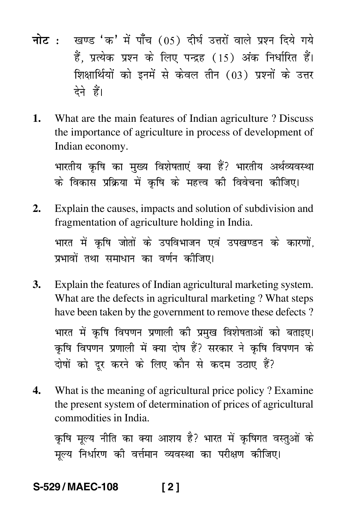- <mark>नोट</mark> : खण्ड 'क' में पाँच (05) दीर्घ उत्तरों वाले प्रश्न दिये गये हैं, प्रत्येक प्रश्न के लिए पन्द्रह (15) अंक निर्धारित हैं। शिक्षार्थियों को इनमें से केवल तीन (03) प्रश्नों के उत्तर देने हैं।
- **1.** What are the main features of Indian agriculture ? Discuss the importance of agriculture in process of development of Indian economy.

भारतीय कृषि का मुख्य विशेषताएं क्या हैं? भारतीय अर्थव्यवस्थ --1 --के विकास प्रक्रिया में कृषि के महत्त्व की विवेचना कीजिए। -

- **2.** Explain the causes, impacts and solution of subdivision and fragmentation of agriculture holding in India. भारत में कृषि जोतों के उपविभाजन एवं उपखण्डन के कारणों, ---Ì प्रभावों तथा समाधान का वर्णन कीजिए। --
- **3.** Explain the features of Indian agricultural marketing system. What are the defects in agricultural marketing ? What steps have been taken by the government to remove these defects ?

भारत में कृषि विपणन प्रणाली की प्रमुख विशेषताओं को बताइए। ----कृषि विपणन प्रणाली में क्या दोष हैं? सरकार ने कृषि विपणन के ----दोषों को दूर करने के लिए कौन से कदम उठाए हैं? .<br>1 -

**4.** What is the meaning of agricultural price policy ? Examine the present system of determination of prices of agricultural commodities in India.

कृषि मूल्य नीति का क्या आशय है? भारत में कृषिगत वस्तुओं के ---मूल्य निर्धारण की वर्त्तमान व्यवस्था का परीक्षण कीजिए। -

# **S-529 / MAEC-108 [ 2 ]**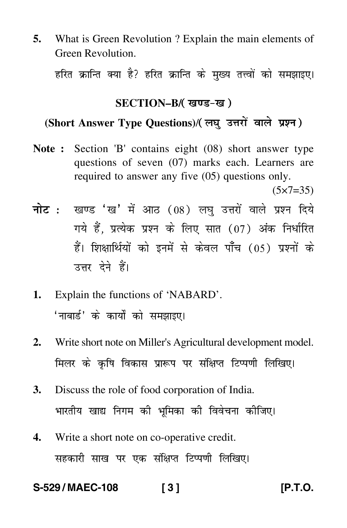**5.** What is Green Revolution ? Explain the main elements of Green Revolution.

हरित क्रान्ति क्या है? हरित क्रान्ति के मुख्य तत्त्वों को समझाइए।

#### **SECTION–B/**

# **(Short Answer Type Questions)**/

**Note :** Section 'B' contains eight (08) short answer type questions of seven (07) marks each. Learners are required to answer any five (05) questions only.

 $(5 \times 7 = 35)$ 

- <mark>नोट</mark> : खण्ड 'ख' में आठ (08) लघु उत्तरों वाले प्रश्न दिये गये हैं, प्रत्येक प्रश्न के लिए सात (07) अंक निर्धारित हैं। शिक्षार्थियों को इनमें से केवल पाँच (05) प्रश्नों के उत्तर देने हैं।
- **1.** Explain the functions of 'NABARD'. 'नाबार्ड' के कार्यों को समझाइए।
- **2.** Write short note on Miller's Agricultural development model. मिलर के कृषि विकास प्रारूप पर संक्षिप्त टिप्पणी लिखिए। -
- **3.** Discuss the role of food corporation of India. भारतीय खाद्य निगम की भूमिका की विवेचना कोजिए। --
- **4.** Write a short note on co-operative credit. सहकारी साख पर एक संक्षिप्त टिप्पणी लिखिए।

### **S-529 / MAEC-108 [ 3 ] [P.T.O.**